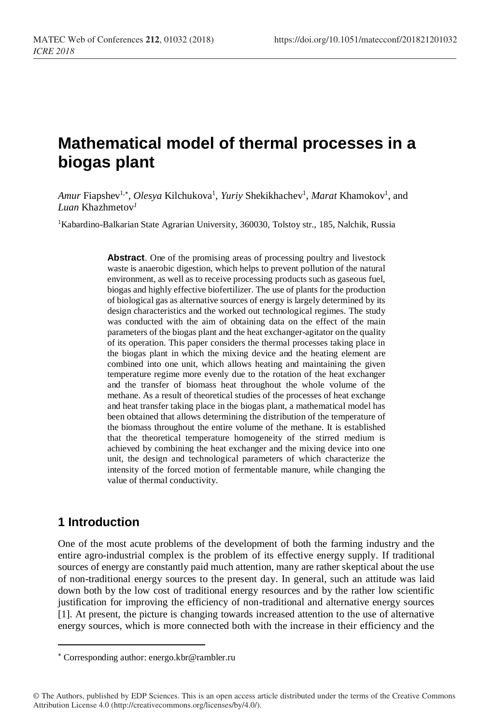# **Mathematical model of thermal processes in a biogas plant**

Amur Fiapshev<sup>1,\*</sup>, *Olesya* Kilchukova<sup>1</sup>, *Yuriy* Shekikhachev<sup>1</sup>, *Marat* Khamokov<sup>1</sup>, and *Luan* Khazhmetov*<sup>1</sup>*

<sup>1</sup>Kabardino-Balkarian State Agrarian University, 360030, Tolstoy str., 185, Nalchik, Russia

**Abstract**. One of the promising areas of processing poultry and livestock waste is anaerobic digestion, which helps to prevent pollution of the natural environment, as well as to receive processing products such as gaseous fuel, biogas and highly effective biofertilizer. The use of plants for the production of biological gas as alternative sources of energy is largely determined by its design characteristics and the worked out technological regimes. The study was conducted with the aim of obtaining data on the effect of the main parameters of the biogas plant and the heat exchanger-agitator on the quality of its operation. This paper considers the thermal processes taking place in the biogas plant in which the mixing device and the heating element are combined into one unit, which allows heating and maintaining the given temperature regime more evenly due to the rotation of the heat exchanger and the transfer of biomass heat throughout the whole volume of the methane. As a result of theoretical studies of the processes of heat exchange and heat transfer taking place in the biogas plant, a mathematical model has been obtained that allows determining the distribution of the temperature of the biomass throughout the entire volume of the methane. It is established that the theoretical temperature homogeneity of the stirred medium is achieved by combining the heat exchanger and the mixing device into one unit, the design and technological parameters of which characterize the intensity of the forced motion of fermentable manure, while changing the value of thermal conductivity.

## **1 Introduction**

l

One of the most acute problems of the development of both the farming industry and the entire agro-industrial complex is the problem of its effective energy supply. If traditional sources of energy are constantly paid much attention, many are rather skeptical about the use of non-traditional energy sources to the present day. In general, such an attitude was laid down both by the low cost of traditional energy resources and by the rather low scientific justification for improving the efficiency of non-traditional and alternative energy sources [1]. At present, the picture is changing towards increased attention to the use of alternative energy sources, which is more connected both with the increase in their efficiency and the

Corresponding author: energo.kbr@rambler.ru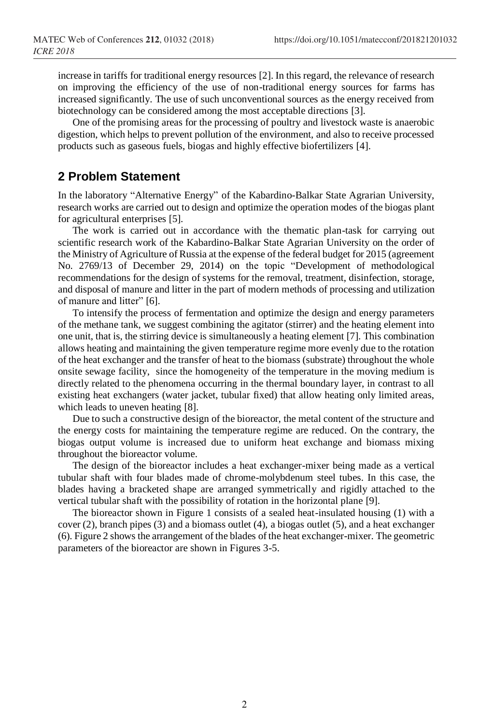increase in tariffs for traditional energy resources [2]. In this regard, the relevance of research on improving the efficiency of the use of non-traditional energy sources for farms has increased significantly. The use of such unconventional sources as the energy received from biotechnology can be considered among the most acceptable directions [3].

One of the promising areas for the processing of poultry and livestock waste is anaerobic digestion, which helps to prevent pollution of the environment, and also to receive processed products such as gaseous fuels, biogas and highly effective biofertilizers [4].

### **2 Problem Statement**

In the laboratory "Alternative Energy" of the Kabardino-Balkar State Agrarian University, research works are carried out to design and optimize the operation modes of the biogas plant for agricultural enterprises [5].

The work is carried out in accordance with the thematic plan-task for carrying out scientific research work of the Kabardino-Balkar State Agrarian University on the order of the Ministry of Agriculture of Russia at the expense of the federal budget for 2015 (agreement No. 2769/13 of December 29, 2014) on the topic "Development of methodological recommendations for the design of systems for the removal, treatment, disinfection, storage, and disposal of manure and litter in the part of modern methods of processing and utilization of manure and litter" [6].

To intensify the process of fermentation and optimize the design and energy parameters of the methane tank, we suggest combining the agitator (stirrer) and the heating element into one unit, that is, the stirring device is simultaneously a heating element [7]. This combination allows heating and maintaining the given temperature regime more evenly due to the rotation of the heat exchanger and the transfer of heat to the biomass (substrate) throughout the whole onsite sewage facility, since the homogeneity of the temperature in the moving medium is directly related to the phenomena occurring in the thermal boundary layer, in contrast to all existing heat exchangers (water jacket, tubular fixed) that allow heating only limited areas, which leads to uneven heating [8].

Due to such a constructive design of the bioreactor, the metal content of the structure and the energy costs for maintaining the temperature regime are reduced. On the contrary, the biogas output volume is increased due to uniform heat exchange and biomass mixing throughout the bioreactor volume.

The design of the bioreactor includes a heat exchanger-mixer being made as a vertical tubular shaft with four blades made of chrome-molybdenum steel tubes. In this case, the blades having a bracketed shape are arranged symmetrically and rigidly attached to the vertical tubular shaft with the possibility of rotation in the horizontal plane [9].

The bioreactor shown in Figure 1 consists of a sealed heat-insulated housing (1) with a cover (2), branch pipes (3) and a biomass outlet (4), a biogas outlet (5), and a heat exchanger (6). Figure 2 shows the arrangement of the blades of the heat exchanger-mixer. The geometric parameters of the bioreactor are shown in Figures 3-5.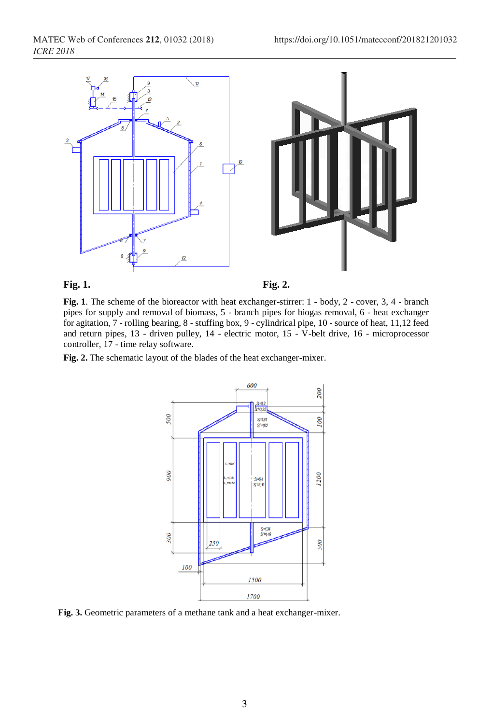

**Fig. 1. Fig. 2.**

**Fig. 1**. The scheme of the bioreactor with heat exchanger-stirrer: 1 - body, 2 - cover, 3, 4 - branch pipes for supply and removal of biomass, 5 - branch pipes for biogas removal, 6 - heat exchanger for agitation, 7 - rolling bearing, 8 - stuffing box, 9 - cylindrical pipe, 10 - source of heat, 11,12 feed and return pipes, 13 - driven pulley, 14 - electric motor, 15 - V-belt drive, 16 - microprocessor controller, 17 - time relay software.

**Fig. 2.** The schematic layout of the blades of the heat exchanger-mixer.



**Fig. 3.** Geometric parameters of a methane tank and a heat exchanger-mixer.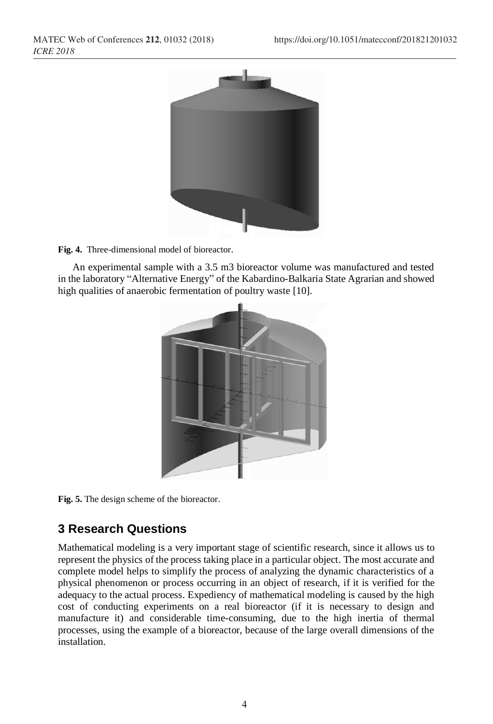

**Fig. 4.** Three-dimensional model of bioreactor.

An experimental sample with a 3.5 m3 bioreactor volume was manufactured and tested in the laboratory "Alternative Energy" of the Kabardino-Balkaria State Agrarian and showed high qualities of anaerobic fermentation of poultry waste [10].



**Fig. 5.** The design scheme of the bioreactor.

# **3 Research Questions**

Mathematical modeling is a very important stage of scientific research, since it allows us to represent the physics of the process taking place in a particular object. The most accurate and complete model helps to simplify the process of analyzing the dynamic characteristics of a physical phenomenon or process occurring in an object of research, if it is verified for the adequacy to the actual process. Expediency of mathematical modeling is caused by the high cost of conducting experiments on a real bioreactor (if it is necessary to design and manufacture it) and considerable time-consuming, due to the high inertia of thermal processes, using the example of a bioreactor, because of the large overall dimensions of the installation.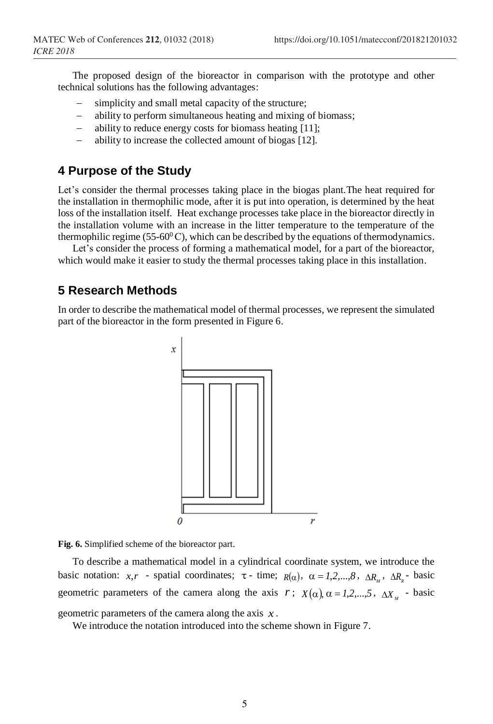The proposed design of the bioreactor in comparison with the prototype and other technical solutions has the following advantages:

- simplicity and small metal capacity of the structure;
- ability to perform simultaneous heating and mixing of biomass;
- ability to reduce energy costs for biomass heating [11];
- ability to increase the collected amount of biogas [12].

# **4 Purpose of the Study**

Let's consider the thermal processes taking place in the biogas plant.The heat required for the installation in thermophilic mode, after it is put into operation, is determined by the heat loss of the installation itself. Heat exchange processes take place in the bioreactor directly in the installation volume with an increase in the litter temperature to the temperature of the thermophilic regime (55-60 $^{\circ}$ C), which can be described by the equations of thermodynamics.

Let's consider the process of forming a mathematical model, for a part of the bioreactor, which would make it easier to study the thermal processes taking place in this installation.

### **5 Research Methods**

In order to describe the mathematical model of thermal processes, we represent the simulated part of the bioreactor in the form presented in Figure 6.



**Fig. 6.** Simplified scheme of the bioreactor part.

To describe a mathematical model in a cylindrical coordinate system, we introduce the basic notation:  $x, r$  - spatial coordinates;  $\tau$ - time;  $R(\alpha)$ ,  $\alpha = 1, 2, ..., 8$ ,  $\Delta R_M$ ,  $\Delta R_g$ - basic geometric parameters of the camera along the axis  $r$ ;  $X(\alpha)$ ,  $\alpha = 1, 2, ..., 5$ ,  $\Delta X_{M}$  - basic geometric parameters of the camera along the axis  $x$ . *<sup>x</sup>* .

We introduce the notation introduced into the scheme shown in Figure 7.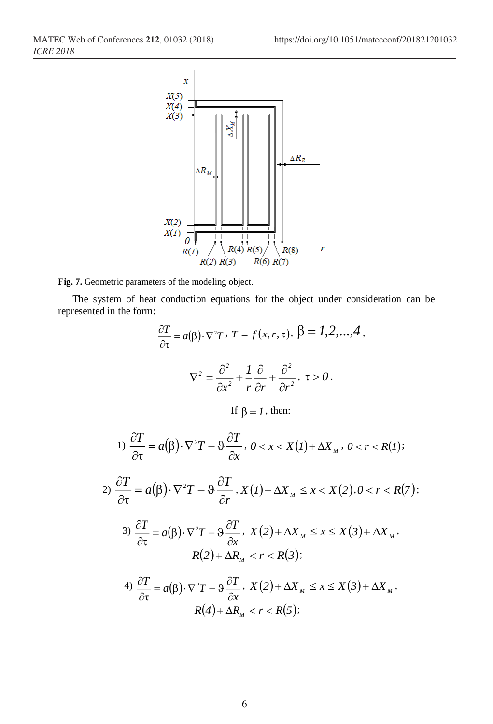

**Fig. 7.** Geometric parameters of the modeling object.

2)

The system of heat conduction equations for the object under consideration can be represented in the form:

$$
\frac{\partial T}{\partial \tau} = a(\beta) \cdot \nabla^2 T \cdot T = f(x, r, \tau), \ \beta = 1, 2, ..., 4,
$$
  

$$
\nabla^2 = \frac{\partial^2}{\partial x^2} + \frac{1}{r} \frac{\partial}{\partial r} + \frac{\partial^2}{\partial r^2}, \ \tau > 0.
$$
  
If  $\beta = 1$ , then:  

$$
1) \frac{\partial T}{\partial \tau} = a(\beta) \cdot \nabla^2 T - \vartheta \frac{\partial T}{\partial x}, \ 0 < x < X(1) + \Delta X_M, \ 0 < r < R(1);
$$
  

$$
\frac{\partial T}{\partial \tau} = a(\beta) \cdot \nabla^2 T - \vartheta \frac{\partial T}{\partial r}, \ X(1) + \Delta X_M \leq x < X(2), 0 < r < R(7);
$$
  

$$
3) \frac{\partial T}{\partial \tau} = a(\beta) \cdot \nabla^2 T - \vartheta \frac{\partial T}{\partial x}, \ X(2) + \Delta X_M \leq x \leq X(3) + \Delta X_M,
$$
  

$$
R(2) + \Delta R_M < r < R(3);
$$
  

$$
4) \frac{\partial T}{\partial \tau} = a(\beta) \cdot \nabla^2 T - \vartheta \frac{\partial T}{\partial x}, \ X(2) + \Delta X_M \leq x \leq X(3) + \Delta X_M,
$$

4) 
$$
\frac{\partial \Gamma}{\partial \tau} = a(\beta) \cdot \nabla^2 T - \vartheta \frac{\partial \Gamma}{\partial x}, \quad X(2) + \Delta X_M \leq x \leq X(3) + \Delta X_M,
$$

$$
R(4) + \Delta R_M < r < R(5);
$$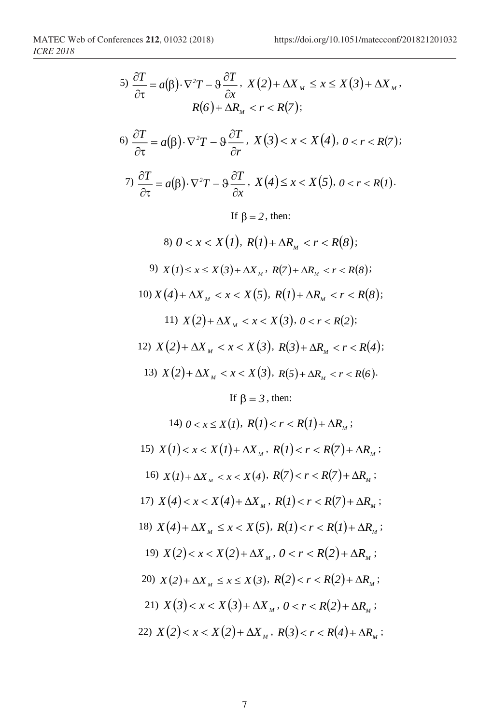5) 
$$
\frac{\partial T}{\partial t} = a(\beta) \cdot \nabla^2 T - 9 \frac{\partial T}{\partial x} \cdot X(2) + \Delta X_M \le x \le X(3) + \Delta X_M
$$
  
\n $R(6) + \Delta R_M < r < R(7)$ ;  
\n6)  $\frac{\partial T}{\partial \tau} = a(\beta) \cdot \nabla^2 T - 9 \frac{\partial T}{\partial r} \cdot X(3) < x < X(4), 0 < r < R(7)$ ;  
\n7)  $\frac{\partial T}{\partial \tau} = a(\beta) \cdot \nabla^2 T - 9 \frac{\partial T}{\partial x} \cdot X(4) \le x < X(5), 0 < r < R(1)$ .  
\nIf  $\beta = 2$ , then:  
\n8)  $0 < x < X(1), R(1) + \Delta R_M < r < R(8)$ ;  
\n9)  $X(1) \le x \le X(3) + \Delta X_M \cdot R(7) + \Delta R_M < r < R(8)$ ;  
\n10)  $X(4) + \Delta X_M < x < X(5), R(1) + \Delta R_M < r < R(8)$ ;  
\n11)  $X(2) + \Delta X_M < x < X(3), R(3) + \Delta R_M < r < R(4)$ ;  
\n12)  $X(2) + \Delta X_M < x < X(3), R(3) + \Delta R_M < r < R(4)$ ;  
\n13)  $X(2) + \Delta X_M < x < X(3), R(5) + \Delta R_M < r < R(6)$ .  
\nIf  $\beta = 3$ , then:  
\n14)  $0 < x \le X(1), R(1) < r < R(1) + \Delta R_M$ ;  
\n15)  $X(1) < x < X(1) + \Delta X_M \cdot R(1) < r < R(7) + \Delta R_M$ ;  
\n16)  $X(1) + \Delta X_M < x < X(4), R(7) < r < R(7) + \Delta R_M$ ;  
\n17)  $X(4) < x < X(4) + \Delta X_M \cdot R(1)$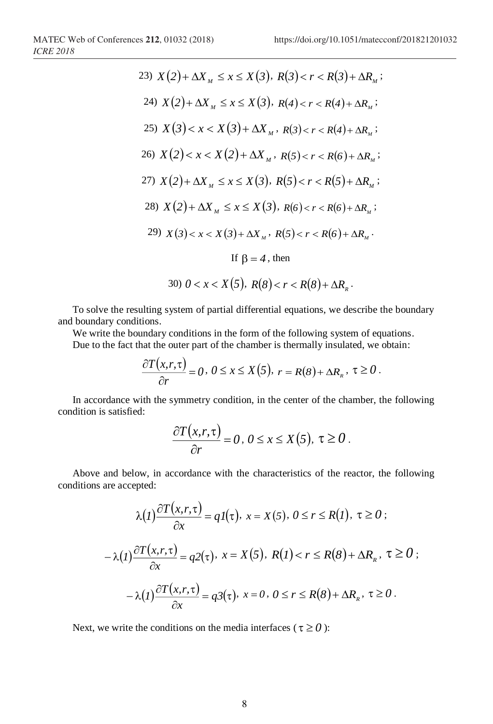23) 
$$
X(2) + \Delta X_M \le x \le X(3), R(3) < r < R(3) + \Delta R_M
$$
;  
\n24)  $X(2) + \Delta X_M \le x \le X(3), R(4) < r < R(4) + \Delta R_M$ ;  
\n25)  $X(3) < x < X(3) + \Delta X_M, R(3) < r < R(4) + \Delta R_M$ ;  
\n26)  $X(2) < x < X(2) + \Delta X_M, R(5) < r < R(6) + \Delta R_M$ ;  
\n27)  $X(2) + \Delta X_M \le x \le X(3), R(5) < r < R(5) + \Delta R_M$ ;  
\n28)  $X(2) + \Delta X_M \le x \le X(3), R(6) < r < R(6) + \Delta R_M$ ;  
\n29)  $X(3) < x < X(3) + \Delta X_M, R(5) < r < R(6) + \Delta R_M$ .  
\nIf  $\beta = 4$ , then  
\n30)  $0 < x < X(5), R(8) < r < R(8) + \Delta R_R$ .

To solve the resulting system of partial differential equations, we describe the boundary and boundary conditions.

We write the boundary conditions in the form of the following system of equations.

Due to the fact that the outer part of the chamber is thermally insulated, we obtain:

$$
\frac{\partial T(x,r,\tau)}{\partial r}=0, 0\leq x\leq X(5), r=R(8)+\Delta R_{R}, \tau\geq 0.
$$

In accordance with the symmetry condition, in the center of the chamber, the following condition is satisfied:

$$
\frac{\partial T(x,r,\tau)}{\partial r}=0, 0\leq x\leq X(5), \tau\geq 0.
$$

Above and below, in accordance with the characteristics of the reactor, the following conditions are accepted:

$$
\lambda(I) \frac{\partial T(x, r, \tau)}{\partial x} = qI(\tau), \ x = X(5), \ 0 \le r \le R(I), \ \tau \ge 0 ;
$$

$$
-\lambda(I) \frac{\partial T(x, r, \tau)}{\partial x} = q2(\tau), \ x = X(5), \ R(I) < r \le R(8) + \Delta R_{\kappa}, \ \tau \ge 0 ;
$$

$$
-\lambda(I) \frac{\partial T(x, r, \tau)}{\partial x} = q3(\tau), \ x = 0, \ 0 \le r \le R(8) + \Delta R_{\kappa}, \ \tau \ge 0 .
$$

Next, we write the conditions on the media interfaces ( $\tau \ge 0$ ):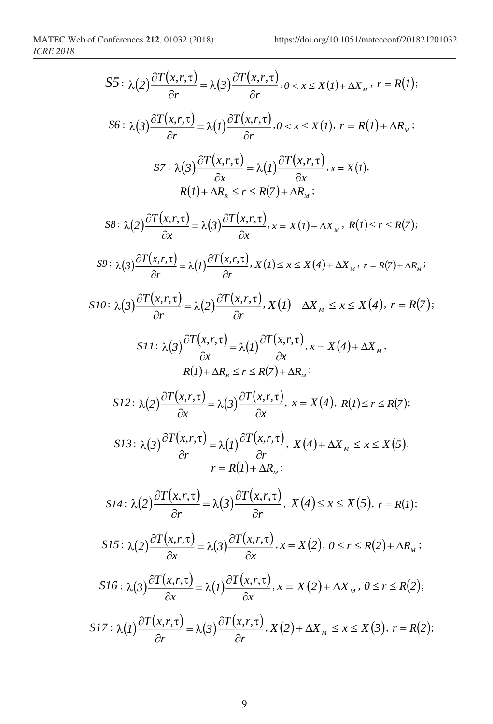$$
S5: \lambda(2) \frac{\partial T(x,r,\tau)}{\partial r} = \lambda(3) \frac{\partial T(x,r,\tau)}{\partial r}, 0 < x \leq X(t) + \Delta X_x, r = R(t);
$$
  
\n
$$
S6: \lambda(3) \frac{\partial T(x,r,\tau)}{\partial r} = \lambda(1) \frac{\partial T(x,r,\tau)}{\partial r}, 0 < x \leq X(t), r = R(t) + \Delta R_x;
$$
  
\n
$$
S7: \lambda(3) \frac{\partial T(x,r,\tau)}{\partial x} = \lambda(1) \frac{\partial T(x,r,\tau)}{\partial x}, x = X(t),
$$
  
\n
$$
R(t) + \Delta R_x \leq r \leq R(7) + \Delta R_x;
$$
  
\n
$$
S8: \lambda(2) \frac{\partial T(x,r,\tau)}{\partial x} = \lambda(3) \frac{\partial T(x,r,\tau)}{\partial x}, x = X(t) + \Delta X_x, R(t) \leq r \leq R(7);
$$
  
\n
$$
S9: \lambda(3) \frac{\partial T(x,r,\tau)}{\partial r} = \lambda(1) \frac{\partial T(x,r,\tau)}{\partial r}, X(t) \leq x \leq X(4) + \Delta X_x, r = R(7) + \Delta R_x;
$$
  
\n
$$
S10: \lambda(3) \frac{\partial T(x,r,\tau)}{\partial r} = \lambda(2) \frac{\partial T(x,r,\tau)}{\partial r}, X(t) + \Delta X_x \leq x \leq X(4), r = R(7);
$$
  
\n
$$
S11: \lambda(3) \frac{\partial T(x,r,\tau)}{\partial x} = \lambda(1) \frac{\partial T(x,r,\tau)}{\partial x}, x = X(4) + \Delta X_x,
$$
  
\n
$$
R(t) + \Delta R_x \leq r \leq R(7) + \Delta R_x;
$$
  
\n
$$
S12: \lambda(2) \frac{\partial T(x,r,\tau)}{\partial x} = \lambda(3) \frac{\partial T(x,r,\tau)}{\partial x}, x = X(4), R(t) \leq r \leq R(7);
$$
  
\n
$$
S13: \lambda(3) \frac{\partial T(x,r,\tau)}{\partial r} = \lambda(3) \frac{\partial T(x,r,\tau)}{\partial r}, X(4) + \Delta X_x \leq x \leq X(5), r = R(t);
$$
  
\n
$$
S14: \lambda(2) \frac{\partial T
$$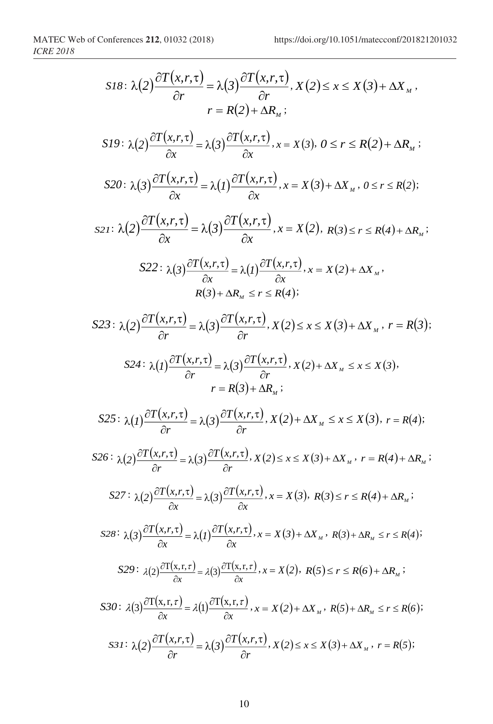$$
SI8: \lambda(2)\frac{\partial T(x,r,\tau)}{\partial r} = \lambda(3)\frac{\partial T(x,r,\tau)}{\partial r}, X(2) \leq x \leq X(3) + \Delta X_{_M},
$$
\n
$$
r = R(2) + \Delta R_{_M};
$$
\n
$$
SI9: \lambda(2)\frac{\partial T(x,r,\tau)}{\partial x} = \lambda(3)\frac{\partial T(x,r,\tau)}{\partial x}, x = X(3), 0 \leq r \leq R(2) + \Delta R_{_M};
$$
\n
$$
SI0: \lambda(3)\frac{\partial T(x,r,\tau)}{\partial x} = \lambda(1)\frac{\partial T(x,r,\tau)}{\partial x}, x = X(3) + \Delta X_{_M}, 0 \leq r \leq R(2);
$$
\n
$$
SI2: \lambda(2)\frac{\partial T(x,r,\tau)}{\partial x} = \lambda(3)\frac{\partial T(x,r,\tau)}{\partial x}, x = X(2), R(3) \leq r \leq R(4) + \Delta R_{_M};
$$
\n
$$
SI2: \lambda(3)\frac{\partial T(x,r,\tau)}{\partial x} = \lambda(1)\frac{\partial T(x,r,\tau)}{\partial x}, x = X(2) + \Delta X_{_M},
$$
\n
$$
R(3) + \Delta R_{_M} \leq r \leq R(4);
$$
\n
$$
SI3: \lambda(2)\frac{\partial T(x,r,\tau)}{\partial r} = \lambda(3)\frac{\partial T(x,r,\tau)}{\partial r}, X(2) \leq x \leq X(3) + \Delta X_{_M}, r = R(3);
$$
\n
$$
SI4: \lambda(1)\frac{\partial T(x,r,\tau)}{\partial r} = \lambda(3)\frac{\partial T(x,r,\tau)}{\partial r}, X(2) + \Delta X_{_M} \leq x \leq X(3), r = R(4);
$$
\n
$$
SI5: \lambda(1)\frac{\partial T(x,r,\tau)}{\partial r} = \lambda(3)\frac{\partial T(x,r,\tau)}{\partial r}, X(2) + \Delta X_{_M} \leq x \leq X(3), r = R(4);
$$
\n
$$
SI6: \lambda(2)\frac{\partial T(x,r,\tau)}{\partial r} = \lambda(3)\frac{\partial T(x,r,\tau)}{\partial r}, X(2) \leq x \leq X(3) + \Delta X_{_M}, r = R(4) + \Delta R_{_M};
$$
\n
$$
SI2: \lambda(2)\
$$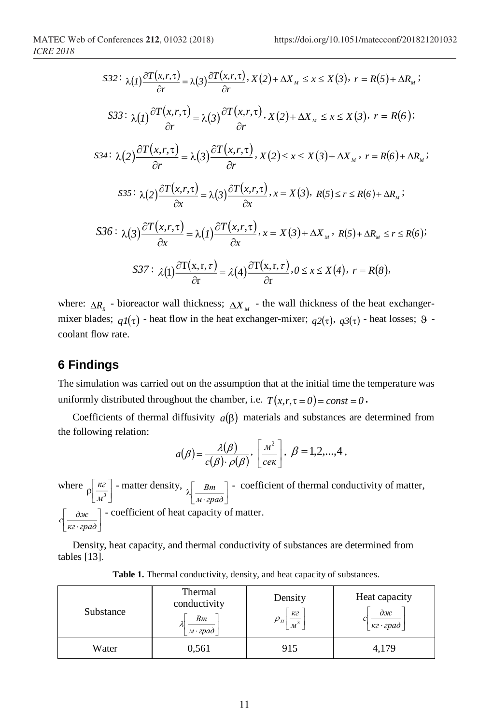$$
S32: \ \lambda(I) \frac{\partial T(x,r,\tau)}{\partial r} = \lambda(3) \frac{\partial T(x,r,\tau)}{\partial r}, \ X(2) + \Delta X_M \leq x \leq X(3), \ r = R(5) + \Delta R_M;
$$
\n
$$
S33: \ \lambda(I) \frac{\partial T(x,r,\tau)}{\partial r} = \lambda(3) \frac{\partial T(x,r,\tau)}{\partial r}, \ X(2) + \Delta X_M \leq x \leq X(3), \ r = R(6);
$$
\n
$$
S34: \ \lambda(2) \frac{\partial T(x,r,\tau)}{\partial r} = \lambda(3) \frac{\partial T(x,r,\tau)}{\partial r}, \ X(2) \leq x \leq X(3) + \Delta X_M, \ r = R(6) + \Delta R_M;
$$
\n
$$
S35: \ \lambda(2) \frac{\partial T(x,r,\tau)}{\partial x} = \lambda(3) \frac{\partial T(x,r,\tau)}{\partial x}, \ x = X(3), \ R(5) \leq r \leq R(6) + \Delta R_M;
$$
\n
$$
S36: \ \lambda(3) \frac{\partial T(x,r,\tau)}{\partial x} = \lambda(1) \frac{\partial T(x,r,\tau)}{\partial x}, \ x = X(3) + \Delta X_M, \ R(5) + \Delta R_M \leq r \leq R(6);
$$
\n
$$
S37: \ \lambda(1) \frac{\partial T(x,r,\tau)}{\partial r} = \lambda(4) \frac{\partial T(x,r,\tau)}{\partial r}, \ 0 \leq x \leq X(4), \ r = R(8),
$$

where:  $\Delta R_R$  - bioreactor wall thickness;  $\Delta X_M$  - the wall thickness of the heat exchangermixer blades;  $qI(\tau)$  - heat flow in the heat exchanger-mixer;  $q2(\tau)$ ,  $q3(\tau)$  - heat losses;  $\theta$  - $\theta$  coolant flow rate.

## **6 Findings**

The simulation was carried out on the assumption that at the initial time the temperature was uniformly distributed throughout the chamber, i.e.  $T(x, r, \tau = 0) = const = 0$ .

Coefficients of thermal diffusivity  $a(\beta)$  materials and substances are determined from the following relation:

$$
a(\beta) = \frac{\lambda(\beta)}{c(\beta) \cdot \rho(\beta)}, \left[\frac{M^2}{c\epsilon \kappa}\right], \ \beta = 1, 2, ..., 4,
$$

where  $\rho\left[\frac{\kappa z}{M^3}\right]$  - matter density,  $\lambda\left[\frac{Bm}{M \cdot epa\partial}\right]$  - $\lceil$  - matter density,  $\lceil$   $R_m$   $\rceil$  - $\[\rho\left[\frac{\kappa}{M^3}\right]$  - matter density,  $\[\lambda\left[\frac{Bm}{M \cdot epa\partial}\right]$  - coefficient of thermal condu  $\lceil$  - coefficient of thermal condu  $\boxed{\phantom{1}}$   $\boxed{M \cdot \text{epad}}$  $\lceil$  Bm  $\rceil$  - coefficient of therma  $\lambda \frac{2m}{M \cdot sp a \lambda}$ *Bm* <sup>7</sup> − coefficient of thermal conductivity of matter,  $\mathcal{L}(\mathcal{L}(\mathcal{L}(\mathcal{L}(\mathcal{L}(\mathcal{L}(\mathcal{L}(\mathcal{L}(\mathcal{L}(\mathcal{L}(\mathcal{L}(\mathcal{L}(\mathcal{L}(\mathcal{L}(\mathcal{L}(\mathcal{L}(\mathcal{L}(\mathcal{L}(\mathcal{L}(\mathcal{L}(\mathcal{L}(\mathcal{L}(\mathcal{L}(\mathcal{L}(\mathcal{L}(\mathcal{L}(\mathcal{L}(\mathcal{L}(\mathcal{L}(\mathcal{L}(\mathcal{L}(\mathcal{L}(\mathcal{L}(\mathcal{L}(\mathcal{L}(\mathcal{L}(\mathcal{$ | - coefficient of heat capacity o  $\overline{\kappa z \cdot \overline{z}$  $\lceil$   $\partial x c$  - coefficient of heat ca  $\alpha$ <sub>*c*</sub> $\alpha$ <sup>-</sup> coefficient of heat capacity of matter.

Density, heat capacity, and thermal conductivity of substances are determined from tables [13].

*кгград*

| Substance | Thermal<br>conductivity<br>Bm<br>м·град | Density<br>кг<br>$\scriptstyle{\nu_{\scriptscriptstyle H}}$<br>$\mathcal{M}$ | Heat capacity<br>$\partial x$<br>кг · град |
|-----------|-----------------------------------------|------------------------------------------------------------------------------|--------------------------------------------|
| Water     | 0,561                                   | 915                                                                          | 4,179                                      |

|  |  | Table 1. Thermal conductivity, density, and heat capacity of substances. |  |  |  |  |
|--|--|--------------------------------------------------------------------------|--|--|--|--|
|--|--|--------------------------------------------------------------------------|--|--|--|--|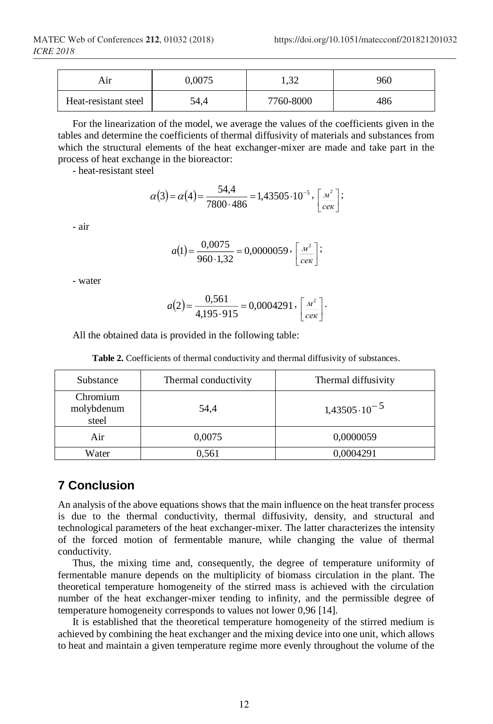| Aır                  | 0.0075 | 20<br>.04 | 960 |
|----------------------|--------|-----------|-----|
| Heat-resistant steel | 54,4   | 7760-8000 | 486 |

For the linearization of the model, we average the values of the coefficients given in the tables and determine the coefficients of thermal diffusivity of materials and substances from which the structural elements of the heat exchanger-mixer are made and take part in the process of heat exchange in the bioreactor:

- heat-resistant steel

$$
\alpha(3) = \alpha(4) = \frac{54.4}{7800 \cdot 486} = 1,43505 \cdot 10^{-5}, \left[ \frac{m^2}{c_{\text{ex}}} \right];
$$

- air

$$
a(1) = \frac{0.0075}{960 \cdot 1.32} = 0.0000059 \cdot \left[ \frac{m^2}{c_{\text{ex}}} \right];
$$

- water

$$
a(2) = \frac{0,561}{4,195.915} = 0,0004291, \left[\frac{m^2}{c_{\text{ex}}}\right].
$$

All the obtained data is provided in the following table:

**Table 2.** Coefficients of thermal conductivity and thermal diffusivity of substances.

| Substance                       | Thermal conductivity | Thermal diffusivity   |  |
|---------------------------------|----------------------|-----------------------|--|
| Chromium<br>molybdenum<br>steel | 54,4                 | $1,43505\cdot10^{-5}$ |  |
| Air                             | 0,0075               | 0,0000059             |  |
| Water                           | 0,561                | 0,0004291             |  |

## **7 Conclusion**

An analysis of the above equations shows that the main influence on the heat transfer process is due to the thermal conductivity, thermal diffusivity, density, and structural and technological parameters of the heat exchanger-mixer. The latter characterizes the intensity of the forced motion of fermentable manure, while changing the value of thermal conductivity.

Thus, the mixing time and, consequently, the degree of temperature uniformity of fermentable manure depends on the multiplicity of biomass circulation in the plant. The theoretical temperature homogeneity of the stirred mass is achieved with the circulation number of the heat exchanger-mixer tending to infinity, and the permissible degree of temperature homogeneity corresponds to values not lower 0,96 [14].

It is established that the theoretical temperature homogeneity of the stirred medium is achieved by combining the heat exchanger and the mixing device into one unit, which allows to heat and maintain a given temperature regime more evenly throughout the volume of the